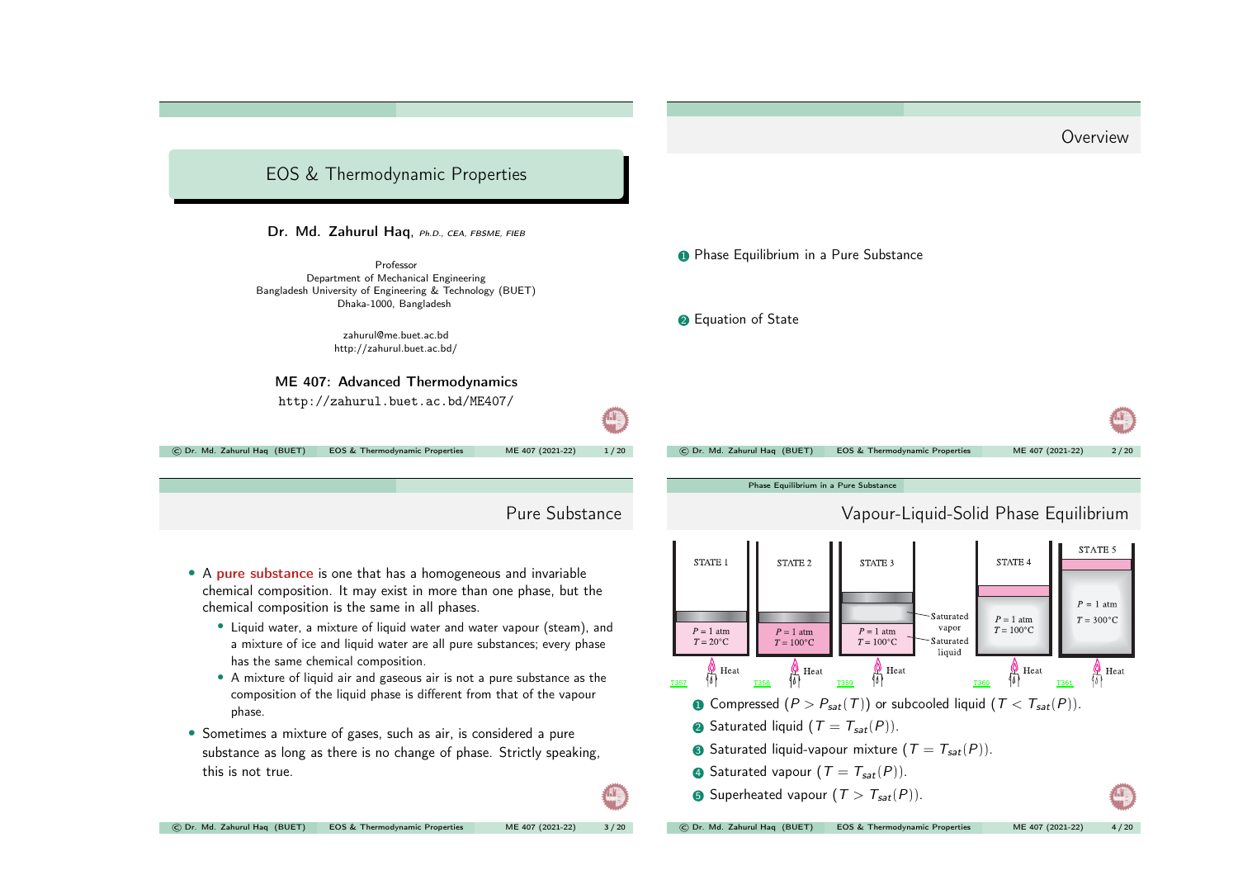

• A mixture of liquid air and gaseous air is not <sup>a</sup> pure substance as the composition of the liquid phase is different from that of the vapour phase.

• Sometimes <sup>a</sup> mixture of gases, such as air, is considered <sup>a</sup> pure substance as long as there is no change of phase. Strictly speaking, this is not true.

**1** Compressed  $(P > P_{sat}(T))$  or subcooled liquid  $(T < T_{sat}(P))$ .

• Saturated liquid  $(T = T_{sat}(P))$ .

**3** Saturated liquid-vapour mixture  $(T = T_{sat}(P))$ .

**4** Saturated vapour  $(T = T_{sat}(P))$ .

**5** Superheated vapour  $(T > T_{sat}(P))$ .

© Dr. Md. Zahurul Haq (BUET) EOS & [Thermodynamic](#page-0-0) Properties ME <sup>407</sup> (2021-22) <sup>3</sup> / <sup>20</sup>

 $\Box$ 

<span id="page-0-0"></span>© Dr. Md. Zahurul Haq (BUET) EOS & [Thermodynamic](#page-0-0) Properties ME <sup>407</sup> (2021-22) <sup>4</sup> / <sup>20</sup>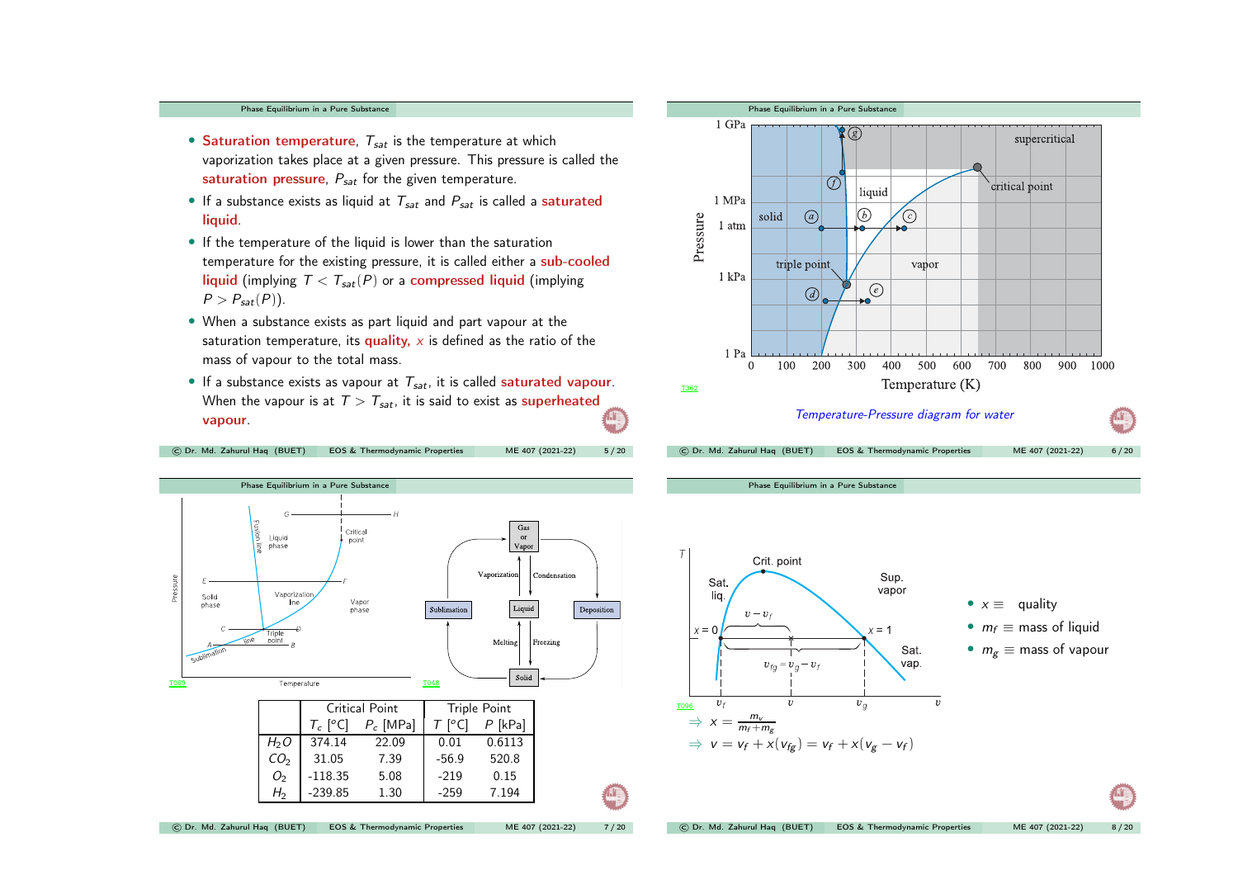## Phase [Equilibrium](#page-0-0) in <sup>a</sup> Pure Substance

- Saturation temperature,  $T_{sat}$  is the temperature at which vaporization takes place at <sup>a</sup> given pressure. This pressure is called the saturation pressure,  $P_{sat}$  for the given temperature.
- If a substance exists as liquid at  $T_{sat}$  and  $P_{sat}$  is called a saturated liquid.
- If the temperature of the liquid is lower than the saturation temperature for the existing pressure, it is called either <sup>a</sup> sub-cooled liquid (implying  $T < T_{sat}(P)$  or a compressed liquid (implying  $P > P_{sat}(P)$ ).
- When <sup>a</sup> substance exists as part liquid and part vapour at the saturation temperature, its quality,  $x$  is defined as the ratio of the mass of vapour to the total mass.
- If a substance exists as vapour at  $T_{sat}$ , it is called saturated vapour. When the vapour is at  $T > T_{sat}$ , it is said to exist as superheated **A** vapour.

© Dr. Md. Zahurul Haq (BUET) EOS & [Thermodynamic](#page-0-0) Properties ME <sup>407</sup> (2021-22) <sup>5</sup> / <sup>20</sup>





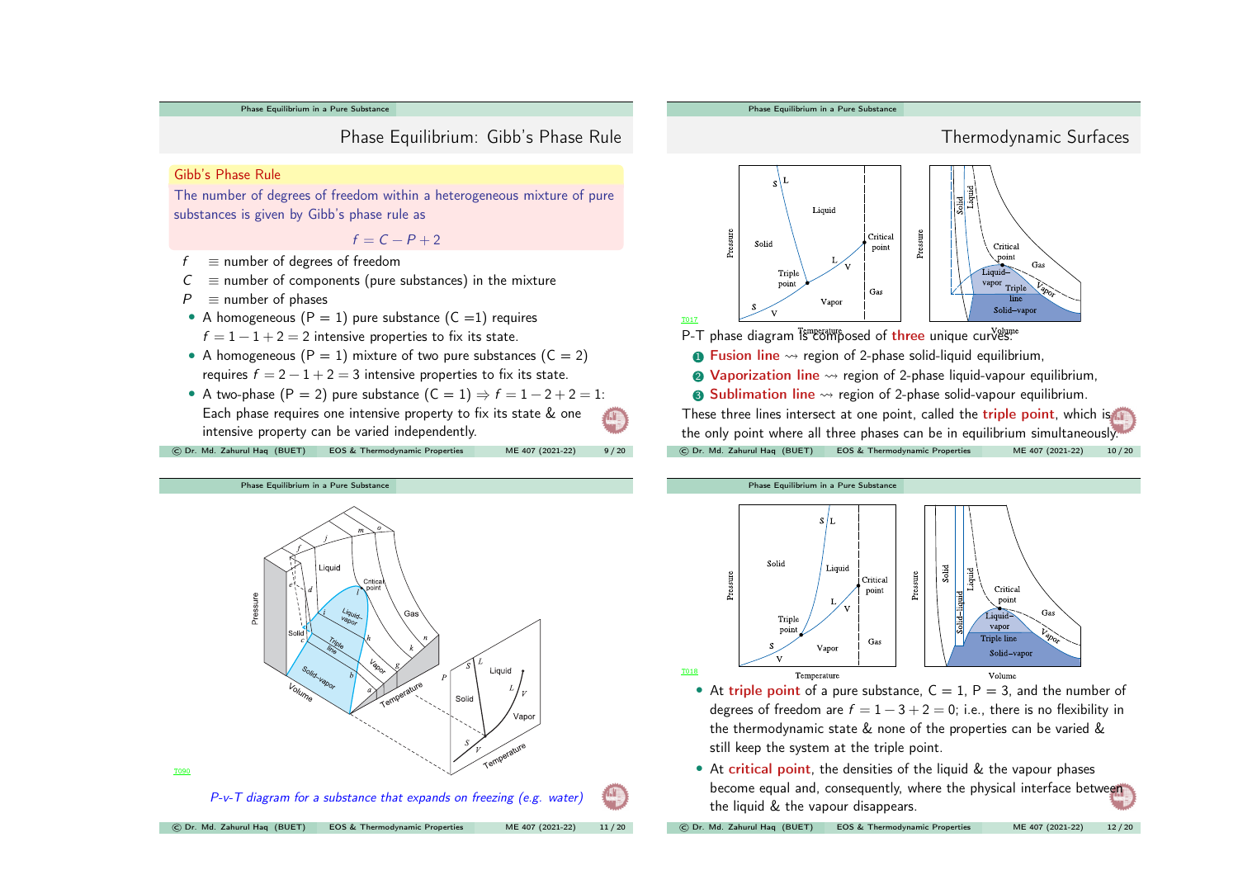Phase [Equilibrium](#page-0-0) in <sup>a</sup> Pure Substance

Phase Equilibrium: Gibb's Phase Rule

## Gibb's Phase Rule

The number of degrees of freedom within <sup>a</sup> heterogeneous mixture of pure substances is given by Gibb's phase rule as

## $f = C - P + 2$

- $f \equiv$  number of degrees of freedom
- $C \equiv$  number of components (pure substances) in the mixture
- $P \equiv$  number of phases
- A homogeneous  $(P = 1)$  pure substance  $(C = 1)$  requires  $f = 1 - 1 + 2 = 2$  intensive properties to fix its state.
- A homogeneous ( $P = 1$ ) mixture of two pure substances ( $C = 2$ ) requires  $f = 2 - 1 + 2 = 3$  intensive properties to fix its state.
- A two-phase (P = 2) pure substance  $(C = 1) \Rightarrow f = 1 2 + 2 = 1$ : Each phase requires one intensive property to fix its state & one  $\mathbb{C}$ intensive property can be varied independently.

© Dr. Md. Zahurul Haq (BUET) EOS & [Thermodynamic](#page-0-0) Properties ME <sup>407</sup> (2021-22) <sup>9</sup> / <sup>20</sup>







- At triple point of a pure substance,  $C = 1$ ,  $P = 3$ , and the number of degrees of freedom are  $f = 1 - 3 + 2 = 0$ ; i.e., there is no flexibility in the thermodynamic state & none of the properties can be varied & still keep the system at the triple point.
- At critical point, the densities of the liquid  $&$  the vapour phases become equal and, consequently, where the physical interface between the liquid & the vapour disappears.

© Dr. Md. Zahurul Haq (BUET) EOS & [Thermodynamic](#page-0-0) Properties ME <sup>407</sup> (2021-22) <sup>12</sup> / <sup>20</sup>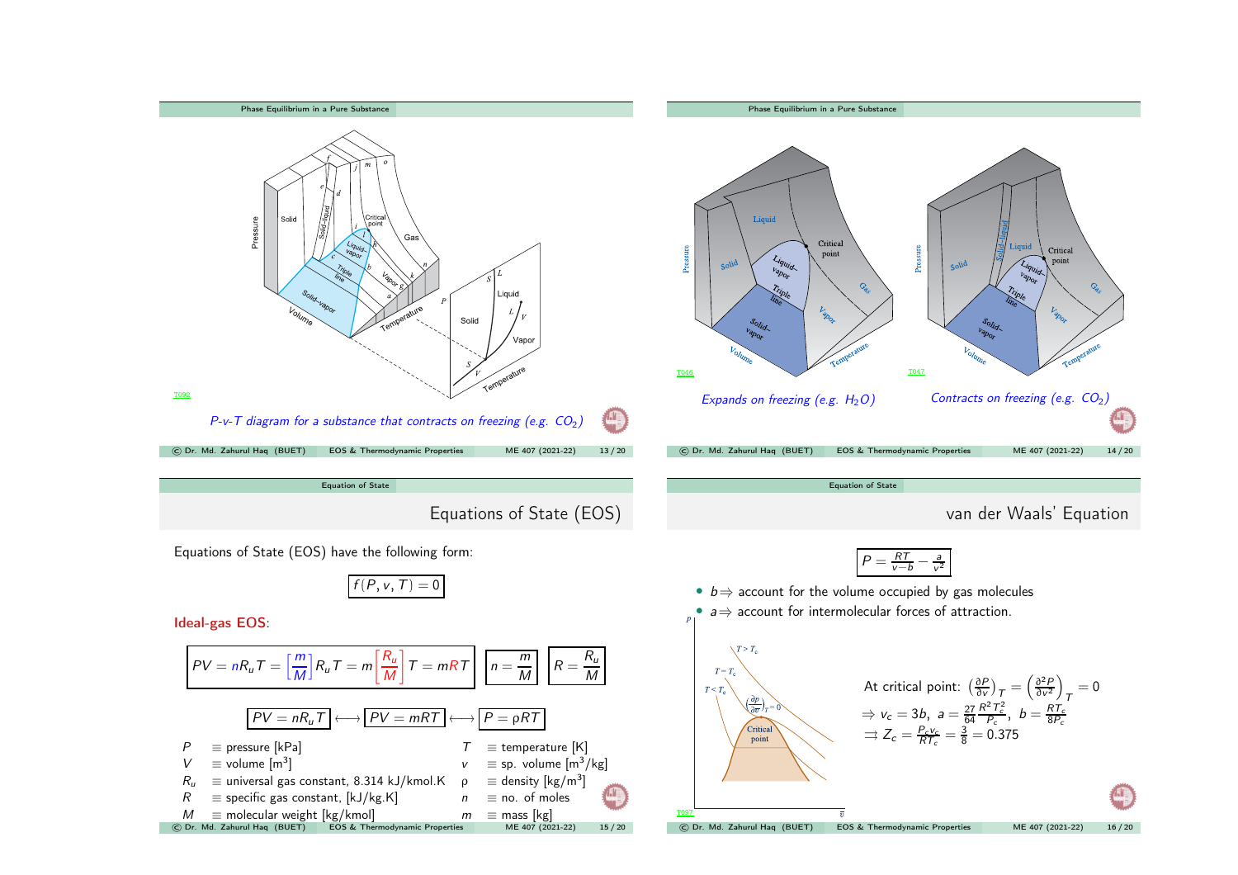<span id="page-3-0"></span>